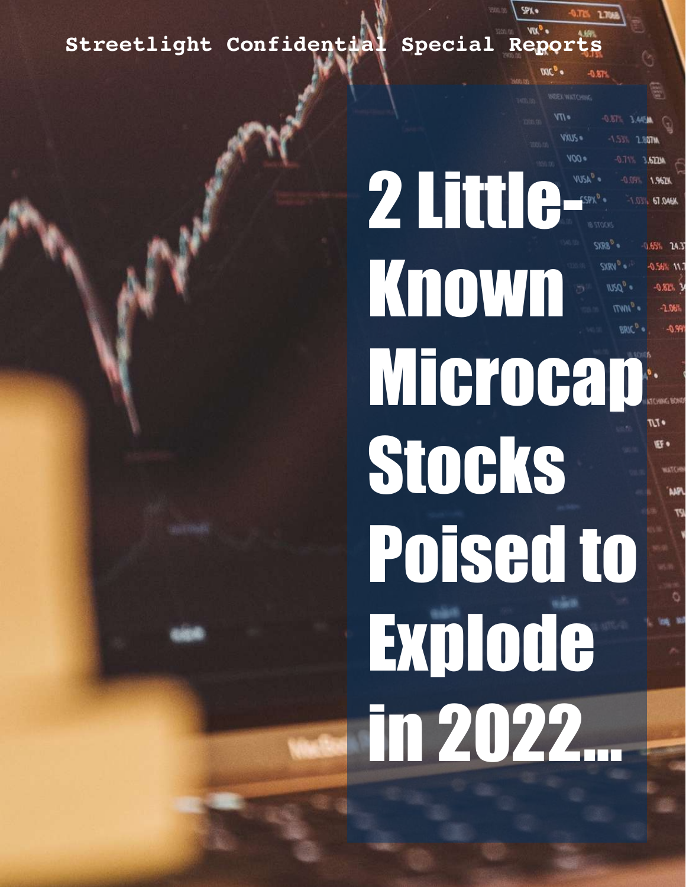STREET LIGHT CONFIDENTIAL CONFIDENTIAL CONFIDENTIAL CONFIDENTIAL CONFIDENTIAL CONFIDENTIAL CONFIDENTIAL CONFIDENTIAL **Streetlight Confidential Special Reports**

> 2 Little Known Microcap<sup>®</sup> Stocks Poised to Explode in 2022…

 $\sqrt{V}$ 

VAUS =

67.046M

0.65% 14.3

**EF** .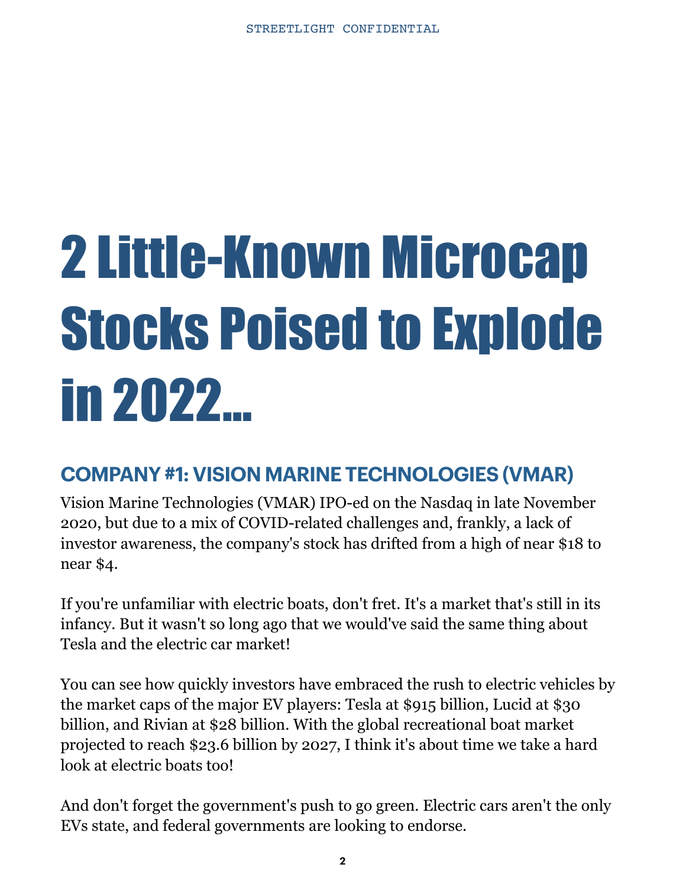# 2 Little-Known Microcap Stocks Poised to Explode in 2022…

# **COMPANY #1: VISION MARINE TECHNOLOGIES (VMAR)**

Vision Marine Technologies (VMAR) IPO-ed on the Nasdaq in late November 2020, but due to a mix of COVID-related challenges and, frankly, a lack of investor awareness, the company's stock has drifted from a high of near \$18 to near \$4.

If you're unfamiliar with electric boats, don't fret. It's a market that's still in its infancy. But it wasn't so long ago that we would've said the same thing about Tesla and the electric car market!

You can see how quickly investors have embraced the rush to electric vehicles by the market caps of the major EV players: Tesla at \$915 billion, Lucid at \$30 billion, and Rivian at \$28 billion. With the global recreational boat market projected to reach \$23.6 billion by 2027, I think it's about time we take a hard look at electric boats too!

And don't forget the government's push to go green. Electric cars aren't the only EVs state, and federal governments are looking to endorse.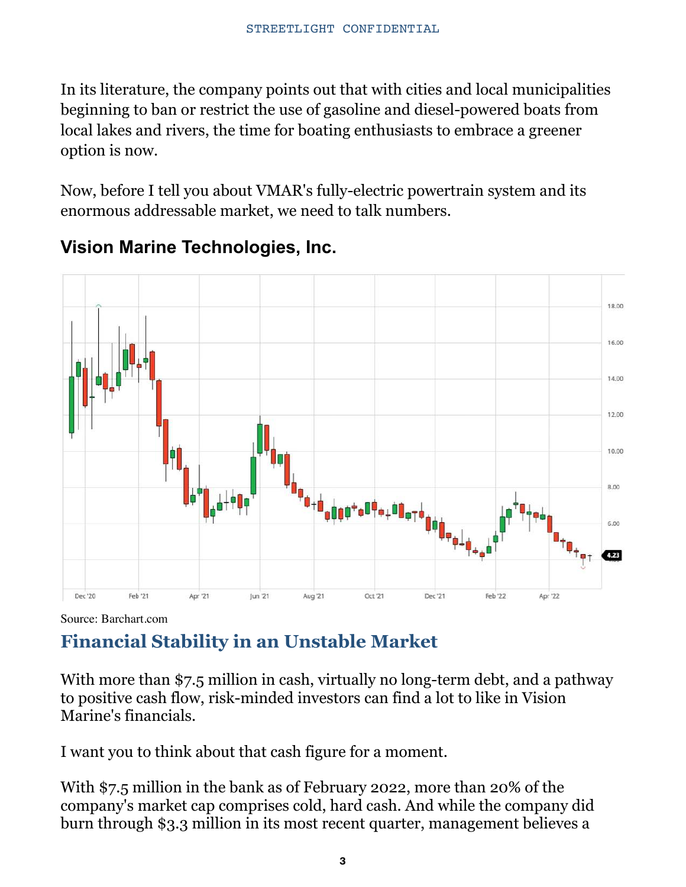In its literature, the company points out that with cities and local municipalities beginning to ban or restrict the use of gasoline and diesel-powered boats from local lakes and rivers, the time for boating enthusiasts to embrace a greener option is now.

Now, before I tell you about VMAR's fully-electric powertrain system and its enormous addressable market, we need to talk numbers.



## **Vision Marine Technologies, Inc.**

Source: Barchart.com

# **Financial Stability in an Unstable Market**

With more than \$7.5 million in cash, virtually no long-term debt, and a pathway to positive cash flow, risk-minded investors can find a lot to like in Vision Marine's financials.

I want you to think about that cash figure for a moment.

With \$7.5 million in the bank as of February 2022, more than 20% of the company's market cap comprises cold, hard cash. And while the company did burn through \$3.3 million in its most recent quarter, management believes a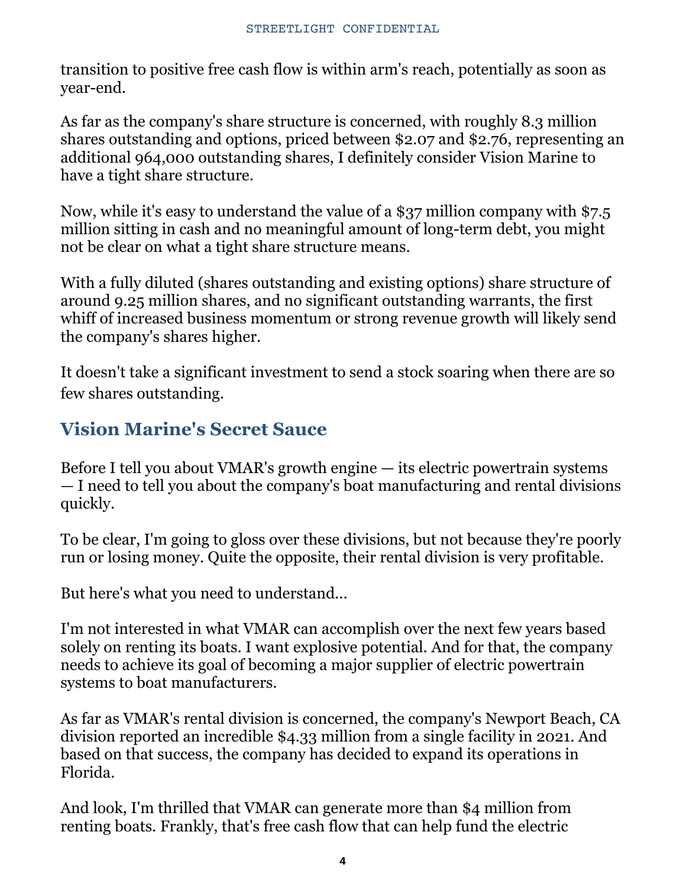transition to positive free cash flow is within arm's reach, potentially as soon as year-end.

As far as the company's share structure is concerned, with roughly 8.3 million shares outstanding and options, priced between \$2.07 and \$2.76, representing an additional 964,000 outstanding shares, I definitely consider Vision Marine to have a tight share structure.

Now, while it's easy to understand the value of a \$37 million company with \$7.5 million sitting in cash and no meaningful amount of long-term debt, you might not be clear on what a tight share structure means.

With a fully diluted (shares outstanding and existing options) share structure of around 9.25 million shares, and no significant outstanding warrants, the first whiff of increased business momentum or strong revenue growth will likely send the company's shares higher.

It doesn't take a significant investment to send a stock soaring when there are so few shares outstanding.

## **Vision Marine's Secret Sauce**

Before I tell you about VMAR's growth engine — its electric powertrain systems — I need to tell you about the company's boat manufacturing and rental divisions quickly.

To be clear, I'm going to gloss over these divisions, but not because they're poorly run or losing money. Quite the opposite, their rental division is very profitable.

But here's what you need to understand...

I'm not interested in what VMAR can accomplish over the next few years based solely on renting its boats. I want explosive potential. And for that, the company needs to achieve its goal of becoming a major supplier of electric powertrain systems to boat manufacturers.

As far as VMAR's rental division is concerned, the company's Newport Beach, CA division reported an incredible \$4.33 million from a single facility in 2021. And based on that success, the company has decided to expand its operations in Florida.

And look, I'm thrilled that VMAR can generate more than \$4 million from renting boats. Frankly, that's free cash flow that can help fund the electric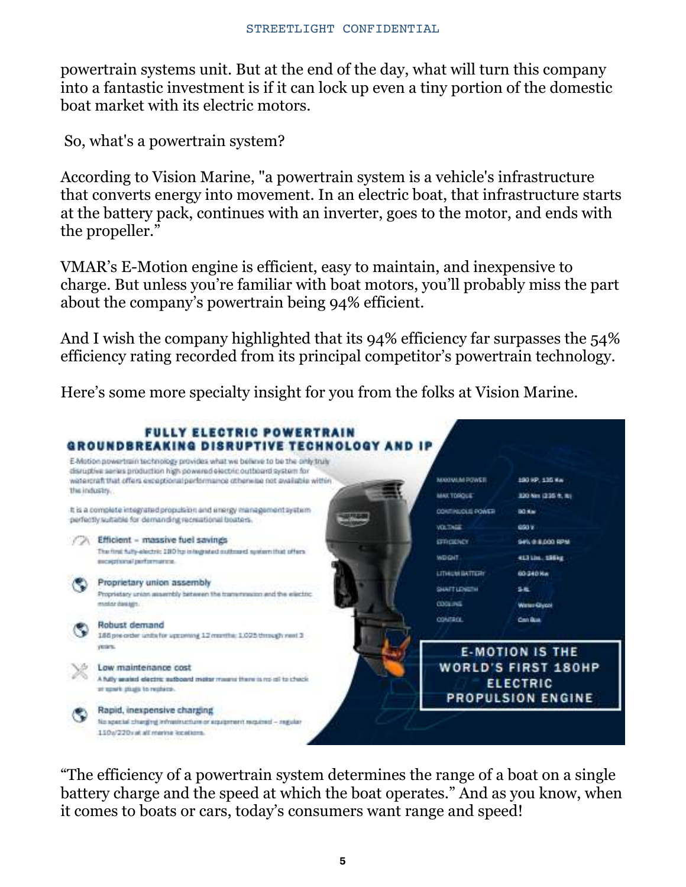powertrain systems unit. But at the end of the day, what will turn this company into a fantastic investment is if it can lock up even a tiny portion of the domestic boat market with its electric motors.

So, what's a powertrain system?

According to Vision Marine, "a powertrain system is a vehicle's infrastructure that converts energy into movement. In an electric boat, that infrastructure starts at the battery pack, continues with an inverter, goes to the motor, and ends with the propeller."

VMAR's E-Motion engine is efficient, easy to maintain, and inexpensive to charge. But unless you're familiar with boat motors, you'll probably miss the part about the company's powertrain being 94% efficient.

And I wish the company highlighted that its 94% efficiency far surpasses the 54% efficiency rating recorded from its principal competitor's powertrain technology.

Here's some more specialty insight for you from the folks at Vision Marine.



"The efficiency of a powertrain system determines the range of a boat on a single battery charge and the speed at which the boat operates." And as you know, when it comes to boats or cars, today's consumers want range and speed!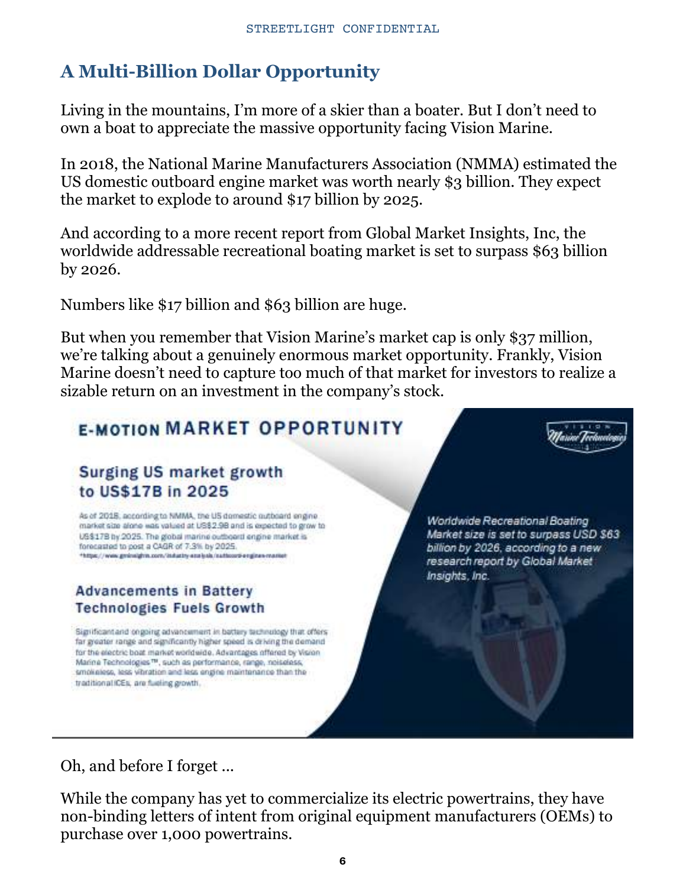# **A Multi-Billion Dollar Opportunity**

Living in the mountains, I'm more of a skier than a boater. But I don't need to own a boat to appreciate the massive opportunity facing Vision Marine.

In 2018, the National Marine Manufacturers Association (NMMA) estimated the US domestic outboard engine market was worth nearly \$3 billion. They expect the market to explode to around \$17 billion by 2025.

And according to a more recent report from Global Market Insights, Inc, the worldwide addressable recreational boating market is set to surpass \$63 billion by 2026.

Numbers like \$17 billion and \$63 billion are huge.

But when you remember that Vision Marine's market cap is only \$37 million, we're talking about a genuinely enormous market opportunity. Frankly, Vision Marine doesn't need to capture too much of that market for investors to realize a sizable return on an investment in the company's stock.

# **E-MOTION MARKET OPPORTUNITY**

#### Surging US market growth to US\$17B in 2025

As of 2018, according to NMMA, the US domestic outboard engine. market size alone was valued at US\$2.98 and is expected to grow to US\$17B by 2025. The global marine outboard engine market is forecasted to post a CAGR of 7.3% by 2025. \*https://www.gmineighte.com/industry-enelysis/nationstienginee-mark

#### **Advancements in Battery Technologies Fuels Growth**

Significant and ongoing advancement in battery technology that offers far greater range and significantly higher speed is driving the demand for the electric boat market worldwide. Advantages offered by Vision Marina Technologies<sup>re</sup>, such as performance, range, noiseless, smokeless, less vibration and less engine maintenance than the traditional ICEs, are fueling growth.

**Worldwide Recreational Boating** Market size is set to surpass USD \$63 billion by 2026, according to a new research report by Global Market Insights, Inc.

Oh, and before I forget ...

While the company has yet to commercialize its electric powertrains, they have non-binding letters of intent from original equipment manufacturers (OEMs) to purchase over 1,000 powertrains.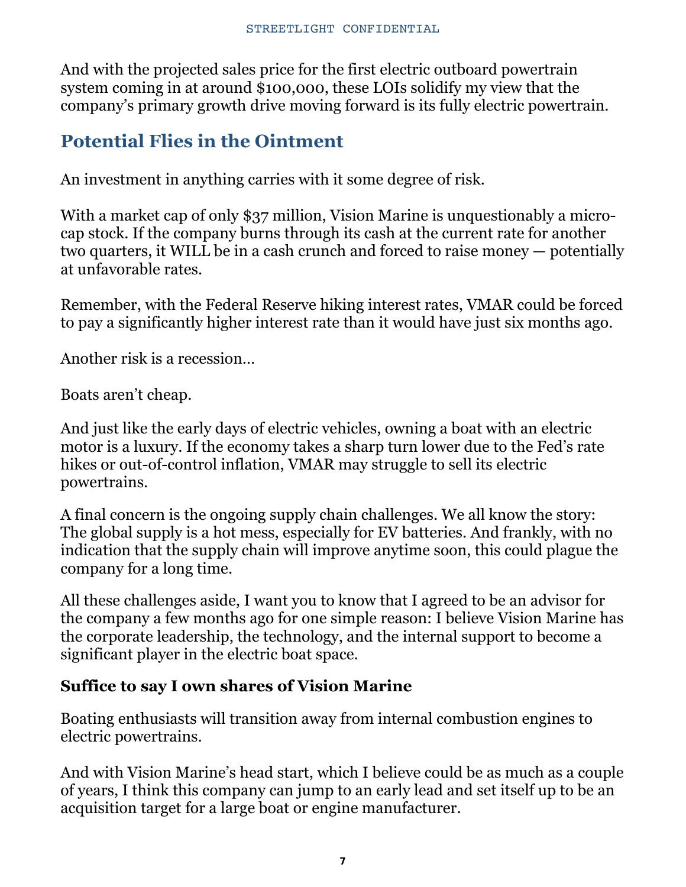And with the projected sales price for the first electric outboard powertrain system coming in at around \$100,000, these LOIs solidify my view that the company's primary growth drive moving forward is its fully electric powertrain.

## **Potential Flies in the Ointment**

An investment in anything carries with it some degree of risk.

With a market cap of only \$37 million, Vision Marine is unquestionably a microcap stock. If the company burns through its cash at the current rate for another two quarters, it WILL be in a cash crunch and forced to raise money — potentially at unfavorable rates.

Remember, with the Federal Reserve hiking interest rates, VMAR could be forced to pay a significantly higher interest rate than it would have just six months ago.

Another risk is a recession…

Boats aren't cheap.

And just like the early days of electric vehicles, owning a boat with an electric motor is a luxury. If the economy takes a sharp turn lower due to the Fed's rate hikes or out-of-control inflation, VMAR may struggle to sell its electric powertrains.

A final concern is the ongoing supply chain challenges. We all know the story: The global supply is a hot mess, especially for EV batteries. And frankly, with no indication that the supply chain will improve anytime soon, this could plague the company for a long time.

All these challenges aside, I want you to know that I agreed to be an advisor for the company a few months ago for one simple reason: I believe Vision Marine has the corporate leadership, the technology, and the internal support to become a significant player in the electric boat space.

#### **Suffice to say I own shares of Vision Marine**

Boating enthusiasts will transition away from internal combustion engines to electric powertrains.

And with Vision Marine's head start, which I believe could be as much as a couple of years, I think this company can jump to an early lead and set itself up to be an acquisition target for a large boat or engine manufacturer.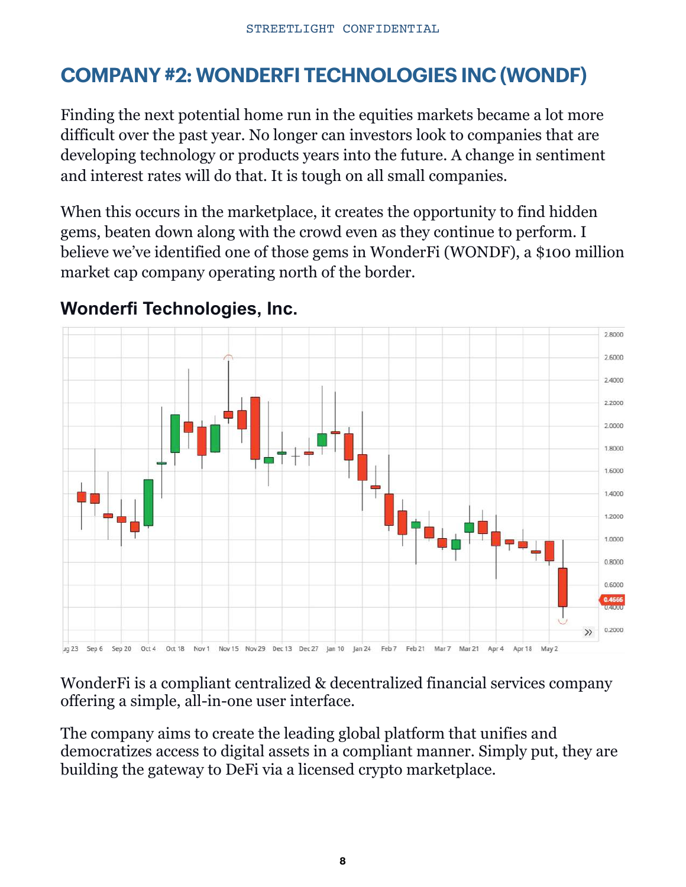# **COMPANY #2: WONDERFI TECHNOLOGIES INC (WONDF)**

Finding the next potential home run in the equities markets became a lot more difficult over the past year. No longer can investors look to companies that are developing technology or products years into the future. A change in sentiment and interest rates will do that. It is tough on all small companies.

When this occurs in the marketplace, it creates the opportunity to find hidden gems, beaten down along with the crowd even as they continue to perform. I believe we've identified one of those gems in WonderFi (WONDF), a \$100 million market cap company operating north of the border.



## **Wonderfi Technologies, Inc.**

WonderFi is a compliant centralized & decentralized financial services company offering a simple, all-in-one user interface.

The company aims to create the leading global platform that unifies and democratizes access to digital assets in a compliant manner. Simply put, they are building the gateway to DeFi via a licensed crypto marketplace.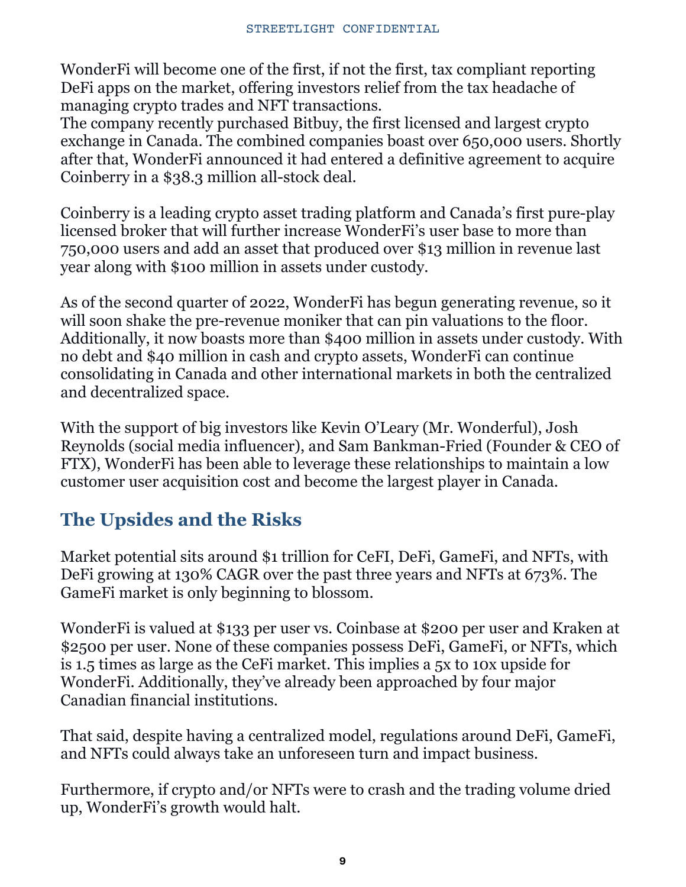WonderFi will become one of the first, if not the first, tax compliant reporting DeFi apps on the market, offering investors relief from the tax headache of managing crypto trades and NFT transactions.

The company recently purchased Bitbuy, the first licensed and largest crypto exchange in Canada. The combined companies boast over 650,000 users. Shortly after that, WonderFi announced it had entered a definitive agreement to acquire Coinberry in a \$38.3 million all-stock deal.

Coinberry is a leading crypto asset trading platform and Canada's first pure-play licensed broker that will further increase WonderFi's user base to more than 750,000 users and add an asset that produced over \$13 million in revenue last year along with \$100 million in assets under custody.

As of the second quarter of 2022, WonderFi has begun generating revenue, so it will soon shake the pre-revenue moniker that can pin valuations to the floor. Additionally, it now boasts more than \$400 million in assets under custody. With no debt and \$40 million in cash and crypto assets, WonderFi can continue consolidating in Canada and other international markets in both the centralized and decentralized space.

With the support of big investors like Kevin O'Leary (Mr. Wonderful), Josh Reynolds (social media influencer), and Sam Bankman-Fried (Founder & CEO of FTX), WonderFi has been able to leverage these relationships to maintain a low customer user acquisition cost and become the largest player in Canada.

# **The Upsides and the Risks**

Market potential sits around \$1 trillion for CeFI, DeFi, GameFi, and NFTs, with DeFi growing at 130% CAGR over the past three years and NFTs at 673%. The GameFi market is only beginning to blossom.

WonderFi is valued at \$133 per user vs. Coinbase at \$200 per user and Kraken at \$2500 per user. None of these companies possess DeFi, GameFi, or NFTs, which is 1.5 times as large as the CeFi market. This implies a 5x to 10x upside for WonderFi. Additionally, they've already been approached by four major Canadian financial institutions.

That said, despite having a centralized model, regulations around DeFi, GameFi, and NFTs could always take an unforeseen turn and impact business.

Furthermore, if crypto and/or NFTs were to crash and the trading volume dried up, WonderFi's growth would halt.